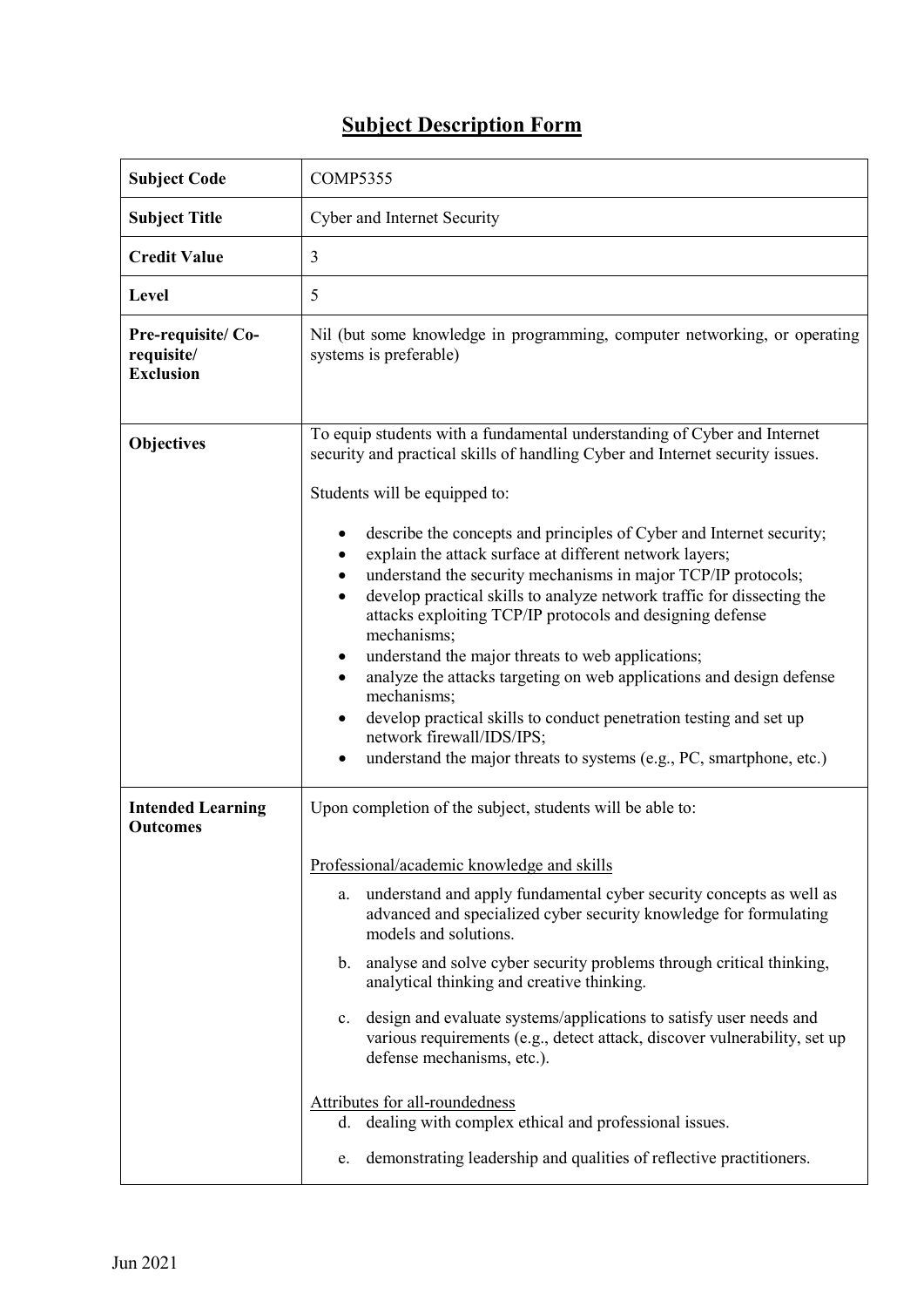## **Subject Description Form**

| <b>Subject Code</b>                                 | <b>COMP5355</b>                                                                                                                                                                                                                                                                                                                                                                                                                                                                                                                                                                                                                                                                                 |  |  |  |  |
|-----------------------------------------------------|-------------------------------------------------------------------------------------------------------------------------------------------------------------------------------------------------------------------------------------------------------------------------------------------------------------------------------------------------------------------------------------------------------------------------------------------------------------------------------------------------------------------------------------------------------------------------------------------------------------------------------------------------------------------------------------------------|--|--|--|--|
| <b>Subject Title</b>                                | Cyber and Internet Security                                                                                                                                                                                                                                                                                                                                                                                                                                                                                                                                                                                                                                                                     |  |  |  |  |
| <b>Credit Value</b>                                 | 3                                                                                                                                                                                                                                                                                                                                                                                                                                                                                                                                                                                                                                                                                               |  |  |  |  |
| Level                                               | 5                                                                                                                                                                                                                                                                                                                                                                                                                                                                                                                                                                                                                                                                                               |  |  |  |  |
| Pre-requisite/Co-<br>requisite/<br><b>Exclusion</b> | Nil (but some knowledge in programming, computer networking, or operating<br>systems is preferable)                                                                                                                                                                                                                                                                                                                                                                                                                                                                                                                                                                                             |  |  |  |  |
| Objectives                                          | To equip students with a fundamental understanding of Cyber and Internet<br>security and practical skills of handling Cyber and Internet security issues.<br>Students will be equipped to:                                                                                                                                                                                                                                                                                                                                                                                                                                                                                                      |  |  |  |  |
|                                                     | describe the concepts and principles of Cyber and Internet security;<br>explain the attack surface at different network layers;<br>understand the security mechanisms in major TCP/IP protocols;<br>develop practical skills to analyze network traffic for dissecting the<br>attacks exploiting TCP/IP protocols and designing defense<br>mechanisms;<br>understand the major threats to web applications;<br>analyze the attacks targeting on web applications and design defense<br>mechanisms;<br>develop practical skills to conduct penetration testing and set up<br>٠<br>network firewall/IDS/IPS;<br>understand the major threats to systems (e.g., PC, smartphone, etc.)<br>$\bullet$ |  |  |  |  |
| <b>Intended Learning</b><br><b>Outcomes</b>         | Upon completion of the subject, students will be able to:                                                                                                                                                                                                                                                                                                                                                                                                                                                                                                                                                                                                                                       |  |  |  |  |
|                                                     | Professional/academic knowledge and skills                                                                                                                                                                                                                                                                                                                                                                                                                                                                                                                                                                                                                                                      |  |  |  |  |
|                                                     | a. understand and apply fundamental cyber security concepts as well as<br>advanced and specialized cyber security knowledge for formulating<br>models and solutions.                                                                                                                                                                                                                                                                                                                                                                                                                                                                                                                            |  |  |  |  |
|                                                     | analyse and solve cyber security problems through critical thinking,<br>$\mathbf{b}$ .<br>analytical thinking and creative thinking.                                                                                                                                                                                                                                                                                                                                                                                                                                                                                                                                                            |  |  |  |  |
|                                                     | design and evaluate systems/applications to satisfy user needs and<br>$c_{\cdot}$<br>various requirements (e.g., detect attack, discover vulnerability, set up<br>defense mechanisms, etc.).                                                                                                                                                                                                                                                                                                                                                                                                                                                                                                    |  |  |  |  |
|                                                     | Attributes for all-roundedness<br>dealing with complex ethical and professional issues.<br>d.                                                                                                                                                                                                                                                                                                                                                                                                                                                                                                                                                                                                   |  |  |  |  |
|                                                     | demonstrating leadership and qualities of reflective practitioners.<br>e.                                                                                                                                                                                                                                                                                                                                                                                                                                                                                                                                                                                                                       |  |  |  |  |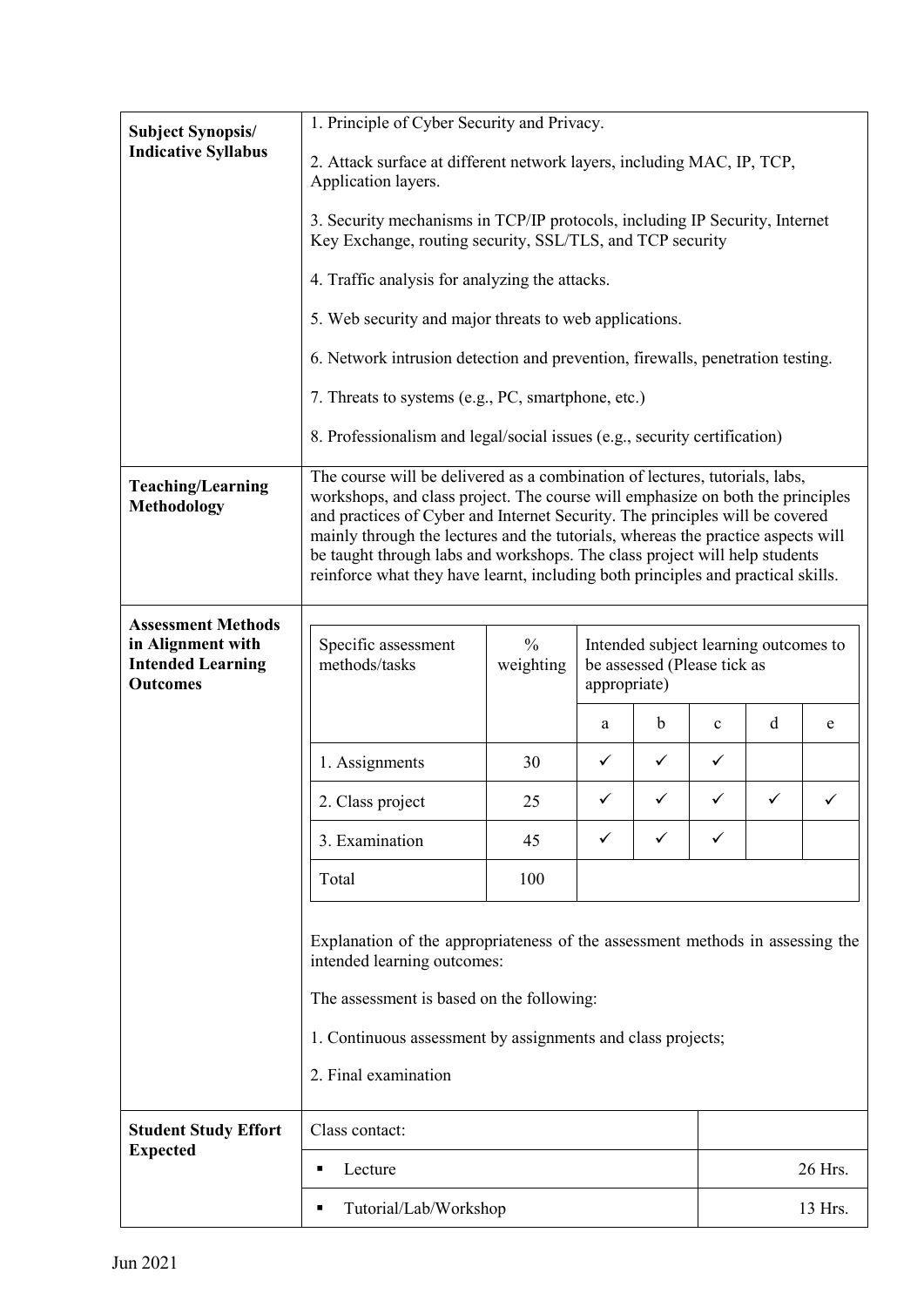| <b>Subject Synopsis/</b>                                                                      | 1. Principle of Cyber Security and Privacy.                                                                                                                                                                                                                                                                                                                                                                                                                                                         |                            |                                                                                      |              |              |              |   |  |  |
|-----------------------------------------------------------------------------------------------|-----------------------------------------------------------------------------------------------------------------------------------------------------------------------------------------------------------------------------------------------------------------------------------------------------------------------------------------------------------------------------------------------------------------------------------------------------------------------------------------------------|----------------------------|--------------------------------------------------------------------------------------|--------------|--------------|--------------|---|--|--|
| <b>Indicative Syllabus</b>                                                                    | 2. Attack surface at different network layers, including MAC, IP, TCP,<br>Application layers.                                                                                                                                                                                                                                                                                                                                                                                                       |                            |                                                                                      |              |              |              |   |  |  |
|                                                                                               | 3. Security mechanisms in TCP/IP protocols, including IP Security, Internet<br>Key Exchange, routing security, SSL/TLS, and TCP security                                                                                                                                                                                                                                                                                                                                                            |                            |                                                                                      |              |              |              |   |  |  |
|                                                                                               | 4. Traffic analysis for analyzing the attacks.                                                                                                                                                                                                                                                                                                                                                                                                                                                      |                            |                                                                                      |              |              |              |   |  |  |
|                                                                                               | 5. Web security and major threats to web applications.                                                                                                                                                                                                                                                                                                                                                                                                                                              |                            |                                                                                      |              |              |              |   |  |  |
|                                                                                               | 6. Network intrusion detection and prevention, firewalls, penetration testing.                                                                                                                                                                                                                                                                                                                                                                                                                      |                            |                                                                                      |              |              |              |   |  |  |
|                                                                                               | 7. Threats to systems (e.g., PC, smartphone, etc.)                                                                                                                                                                                                                                                                                                                                                                                                                                                  |                            |                                                                                      |              |              |              |   |  |  |
|                                                                                               | 8. Professionalism and legal/social issues (e.g., security certification)                                                                                                                                                                                                                                                                                                                                                                                                                           |                            |                                                                                      |              |              |              |   |  |  |
| <b>Teaching/Learning</b><br><b>Methodology</b>                                                | The course will be delivered as a combination of lectures, tutorials, labs,<br>workshops, and class project. The course will emphasize on both the principles<br>and practices of Cyber and Internet Security. The principles will be covered<br>mainly through the lectures and the tutorials, whereas the practice aspects will<br>be taught through labs and workshops. The class project will help students<br>reinforce what they have learnt, including both principles and practical skills. |                            |                                                                                      |              |              |              |   |  |  |
| <b>Assessment Methods</b><br>in Alignment with<br><b>Intended Learning</b><br><b>Outcomes</b> | Specific assessment<br>methods/tasks                                                                                                                                                                                                                                                                                                                                                                                                                                                                | $\frac{0}{0}$<br>weighting | Intended subject learning outcomes to<br>be assessed (Please tick as<br>appropriate) |              |              |              |   |  |  |
|                                                                                               |                                                                                                                                                                                                                                                                                                                                                                                                                                                                                                     |                            | a                                                                                    | b            | $\mathbf{c}$ | d            | e |  |  |
|                                                                                               | 1. Assignments                                                                                                                                                                                                                                                                                                                                                                                                                                                                                      | 30                         | $\checkmark$                                                                         | $\checkmark$ | $\checkmark$ |              |   |  |  |
|                                                                                               | 2. Class project                                                                                                                                                                                                                                                                                                                                                                                                                                                                                    | 25                         | ✓                                                                                    | ✓            | $\checkmark$ | $\checkmark$ |   |  |  |
|                                                                                               | 3. Examination                                                                                                                                                                                                                                                                                                                                                                                                                                                                                      | 45                         | ✓                                                                                    | ✓            | ✓            |              |   |  |  |
|                                                                                               | Total                                                                                                                                                                                                                                                                                                                                                                                                                                                                                               | 100                        |                                                                                      |              |              |              |   |  |  |
|                                                                                               | Explanation of the appropriateness of the assessment methods in assessing the<br>intended learning outcomes:<br>The assessment is based on the following:<br>1. Continuous assessment by assignments and class projects;<br>2. Final examination                                                                                                                                                                                                                                                    |                            |                                                                                      |              |              |              |   |  |  |
| <b>Student Study Effort</b>                                                                   | Class contact:                                                                                                                                                                                                                                                                                                                                                                                                                                                                                      |                            |                                                                                      |              |              |              |   |  |  |
| <b>Expected</b>                                                                               | Lecture<br>٠                                                                                                                                                                                                                                                                                                                                                                                                                                                                                        |                            |                                                                                      |              |              | 26 Hrs.      |   |  |  |
|                                                                                               | Tutorial/Lab/Workshop                                                                                                                                                                                                                                                                                                                                                                                                                                                                               |                            |                                                                                      |              |              | 13 Hrs.      |   |  |  |